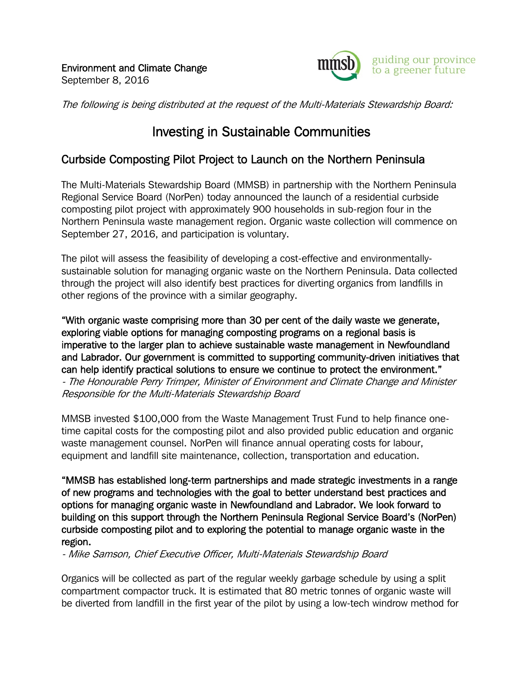

The following is being distributed at the request of the Multi-Materials Stewardship Board:

## Investing in Sustainable Communities

## Curbside Composting Pilot Project to Launch on the Northern Peninsula

The Multi-Materials Stewardship Board (MMSB) in partnership with the Northern Peninsula Regional Service Board (NorPen) today announced the launch of a residential curbside composting pilot project with approximately 900 households in sub-region four in the Northern Peninsula waste management region. Organic waste collection will commence on September 27, 2016, and participation is voluntary.

The pilot will assess the feasibility of developing a cost-effective and environmentallysustainable solution for managing organic waste on the Northern Peninsula. Data collected through the project will also identify best practices for diverting organics from landfills in other regions of the province with a similar geography.

"With organic waste comprising more than 30 per cent of the daily waste we generate, exploring viable options for managing composting programs on a regional basis is imperative to the larger plan to achieve sustainable waste management in Newfoundland and Labrador. Our government is committed to supporting community-driven initiatives that can help identify practical solutions to ensure we continue to protect the environment." - The Honourable Perry Trimper, Minister of Environment and Climate Change and Minister Responsible for the Multi-Materials Stewardship Board

MMSB invested \$100,000 from the Waste Management Trust Fund to help finance onetime capital costs for the composting pilot and also provided public education and organic waste management counsel. NorPen will finance annual operating costs for labour, equipment and landfill site maintenance, collection, transportation and education.

"MMSB has established long-term partnerships and made strategic investments in a range of new programs and technologies with the goal to better understand best practices and options for managing organic waste in Newfoundland and Labrador. We look forward to building on this support through the Northern Peninsula Regional Service Board's (NorPen) curbside composting pilot and to exploring the potential to manage organic waste in the region.

- Mike Samson, Chief Executive Officer, Multi-Materials Stewardship Board

Organics will be collected as part of the regular weekly garbage schedule by using a split compartment compactor truck. It is estimated that 80 metric tonnes of organic waste will be diverted from landfill in the first year of the pilot by using a low-tech windrow method for